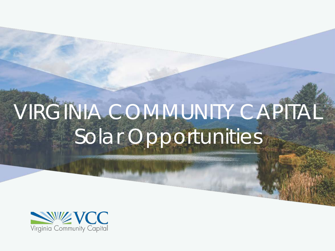# VIRGINIA COMMUNITY CAPITAL Solar Opportunities

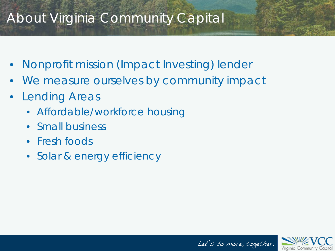# About Virginia Community Capital

- Nonprofit mission (Impact Investing) lender
- We measure ourselves by community impact
- Lending Areas
	- Affordable/workforce housing
	- Small business
	- Fresh foods
	- Solar & energy efficiency



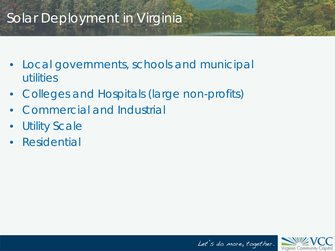# Solar Deployment in Virginia

- Local governments, schools and municipal utilities
- Colleges and Hospitals (large non-profits)
- Commercial and Industrial
- Utility Scale
- Residential



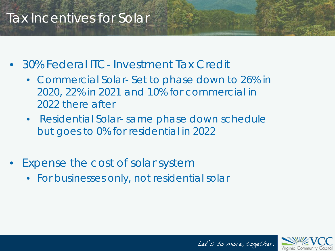#### Tax Incentives for Solar

- 30% Federal ITC- Investment Tax Credit
	- Commercial Solar- Set to phase down to 26% in 2020, 22% in 2021 and 10% for commercial in 2022 there after
	- Residential Solar- same phase down schedule but goes to 0% for residential in 2022
- Expense the cost of solar system
	- For businesses only, not residential solar



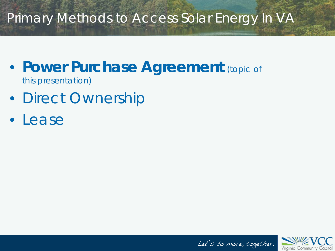## Primary Methods to Access Solar Energy In VA

- **Power Purchase Agreement** (topic of this presentation)
- Direct Ownership
- Lease



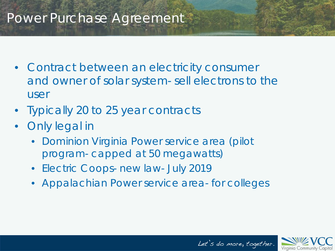#### Power Purchase Agreement

- Contract between an electricity consumer and owner of solar system- sell electrons to the user
- Typically 20 to 25 year contracts
- Only legal in
	- Dominion Virginia Power service area (pilot program- capped at 50 megawatts)
	- Electric Coops- new law- July 2019
	- Appalachian Power service area- for colleges

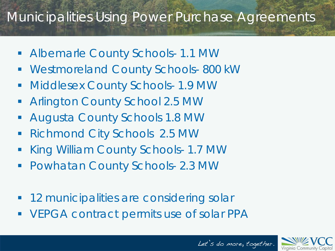# Municipalities Using Power Purchase Agreements

- **Albemarle County Schools- 1.1 MW**
- Westmoreland County Schools- 800 kW
- Middlesex County Schools- 1.9 MW
- **Arlington County School 2.5 MW**
- Augusta County Schools 1.8 MW
- Richmond City Schools 2.5 MW
- **King William County Schools- 1.7 MW**
- Powhatan County Schools- 2.3 MW
- 12 municipalities are considering solar
- VEPGA contract permits use of solar PPA



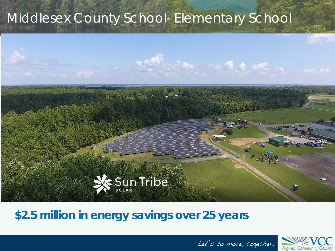# Middlesex County School- Elementary School



#### **\$2.5 million in energy savings over 25 years**



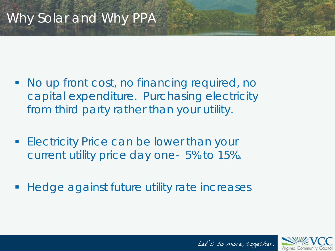## Why Solar and Why PPA

- No up front cost, no financing required, no capital expenditure. Purchasing electricity from third party rather than your utility.
- **Electricity Price can be lower than your** current utility price day one- 5% to 15%.
- Hedge against future utility rate increases



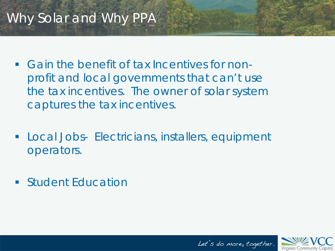## Why Solar and Why PPA

- Gain the benefit of tax Incentives for nonprofit and local governments that can't use the tax incentives. The owner of solar system captures the tax incentives.
- **Local Jobs- Electricians, installers, equipment** operators.
- **Student Education**